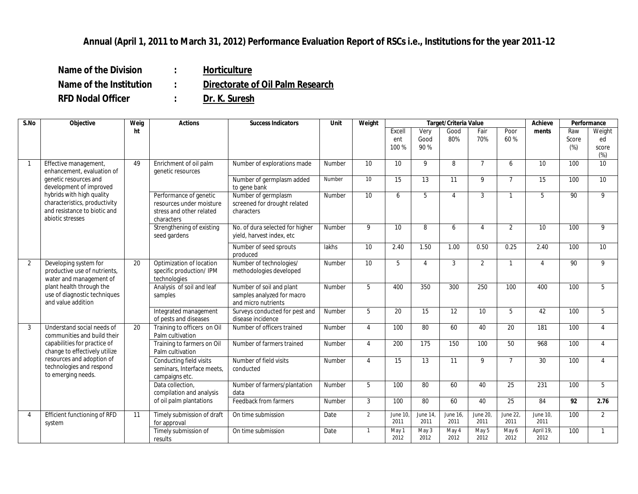## **Annual (April 1, 2011 to March 31, 2012) Performance Evaluation Report of RSCs i.e., Institutions for the year 2011-12**

**Name of the Division : Horticulture Name of the Institution : Directorate of Oil Palm Research**

**RFD Nodal Officer : Dr. K. Suresh**

| S.No           | Objective                                                                                                                                                                                                                 | Weig | Actions                                                                                      | <b>Success Indicators</b>                                                     | Unit          | Weight         | Target/Criteria Value  |                             |                  |                  |                  | Achieve           | Performance         |                                 |
|----------------|---------------------------------------------------------------------------------------------------------------------------------------------------------------------------------------------------------------------------|------|----------------------------------------------------------------------------------------------|-------------------------------------------------------------------------------|---------------|----------------|------------------------|-----------------------------|------------------|------------------|------------------|-------------------|---------------------|---------------------------------|
|                |                                                                                                                                                                                                                           | ht   |                                                                                              |                                                                               |               |                | Excell<br>ent<br>100 % | Very<br>Good<br>90 %        | Good<br>80%      | Fair<br>70%      | Poor<br>60%      | ments             | Raw<br>Score<br>(%) | Weight<br>ed<br>score<br>$(\%)$ |
|                | Effective management,<br>enhancement, evaluation of<br>genetic resources and<br>development of improved<br>hybrids with high quality<br>characteristics, productivity<br>and resistance to biotic and<br>abiotic stresses | 49   | Enrichment of oil palm<br>genetic resources                                                  | Number of explorations made                                                   | Number        | 10             | 10                     | 9                           | 8                | $\overline{7}$   | 6                | 10                | 100                 | 10                              |
|                |                                                                                                                                                                                                                           |      |                                                                                              | Number of germplasm added<br>to gene bank                                     | Number        | 10             | 15                     | 13                          | 11               | 9                | $\overline{7}$   | 15                | 100                 | 10                              |
|                |                                                                                                                                                                                                                           |      | Performance of genetic<br>resources under moisture<br>stress and other related<br>characters | Number of germplasm<br>screened for drought related<br>characters             | Number        | 10             | 6                      | 5                           | $\overline{4}$   | 3                | $\mathbf{1}$     | 5                 | 90                  | 9                               |
|                |                                                                                                                                                                                                                           |      | Strengthening of existing<br>seed gardens                                                    | No. of dura selected for higher<br>yield, harvest index, etc                  | <b>Number</b> | 9              | 10                     | 8                           | 6                | $\overline{4}$   | 2                | 10                | 100                 | $\mathsf{Q}$                    |
|                |                                                                                                                                                                                                                           |      |                                                                                              | Number of seed sprouts<br>produced                                            | lakhs         | 10             | 2.40                   | 1.50                        | 1.00             | 0.50             | 0.25             | 2.40              | 100                 | $\overline{10}$                 |
| $\mathcal{P}$  | Developing system for<br>productive use of nutrients,<br>water and management of<br>plant health through the<br>use of diagnostic techniques<br>and value addition                                                        | 20   | Optimization of location<br>specific production/ IPM<br>technologies                         | Number of technologies/<br>methodologies developed                            | Number        | 10             | 5                      | $\boldsymbol{\vartriangle}$ | 3                | 2                | $\mathbf{1}$     | $\overline{4}$    | 90                  | 9                               |
|                |                                                                                                                                                                                                                           |      | Analysis of soil and leaf<br>samples                                                         | Number of soil and plant<br>samples analyzed for macro<br>and micro nutrients | Number        | 5              | 400                    | 350                         | 300              | 250              | 100              | 400               | 100                 | 5                               |
|                |                                                                                                                                                                                                                           |      | Integrated management<br>of pests and diseases                                               | Surveys conducted for pest and<br>disease incidence                           | Number        | 5              | 20                     | 15                          | 12               | 10               | 5                | 42                | 100                 | 5                               |
| 3              | Understand social needs of<br>communities and build their<br>capabilities for practice of<br>change to effectively utilize<br>resources and adoption of<br>technologies and respond<br>to emerging needs.                 | 20   | Training to officers on Oil<br>Palm cultivation                                              | Number of officers trained                                                    | Number        | $\overline{4}$ | 100                    | 80                          | 60               | 40               | 20               | 181               | 100                 | $\overline{4}$                  |
|                |                                                                                                                                                                                                                           |      | Training to farmers on Oil<br>Palm cultivation                                               | Number of farmers trained                                                     | Number        | 4              | 200                    | 175                         | 150              | 100              | 50               | 968               | 100                 | $\overline{4}$                  |
|                |                                                                                                                                                                                                                           |      | Conducting field visits<br>seminars, Interface meets,<br>campaigns etc.                      | Number of field visits<br>conducted                                           | Number        | $\overline{4}$ | 15                     | 13                          | 11               | 9                | $\overline{7}$   | 30                | 100                 | $\overline{4}$                  |
|                |                                                                                                                                                                                                                           |      | Data collection.<br>compilation and analysis                                                 | Number of farmers/plantation<br>data                                          | Number        | 5              | 100                    | 80                          | 60               | 40               | 25               | 231               | 100                 | $5^{\circ}$                     |
|                |                                                                                                                                                                                                                           |      | of oil palm plantations                                                                      | Feedback from farmers                                                         | Number        | $\mathcal{S}$  | 100                    | 80                          | 60               | 40               | 25               | 84                | $\overline{92}$     | 2.76                            |
| $\overline{4}$ | Efficient functioning of RFD<br>system                                                                                                                                                                                    | 11   | Timely submission of draft<br>for approval                                                   | On time submission                                                            | Date          | $\overline{2}$ | June 10.<br>2011       | June 14,<br>2011            | June 16,<br>2011 | June 20,<br>2011 | June 22,<br>2011 | June 10,<br>2011  | 100                 | $\overline{2}$                  |
|                |                                                                                                                                                                                                                           |      | Timely submission of<br>results                                                              | On time submission                                                            | Date          | $\mathbf{1}$   | May 1<br>2012          | May 3<br>2012               | May 4<br>2012    | May 5<br>2012    | May 6<br>2012    | April 19,<br>2012 | 100                 |                                 |